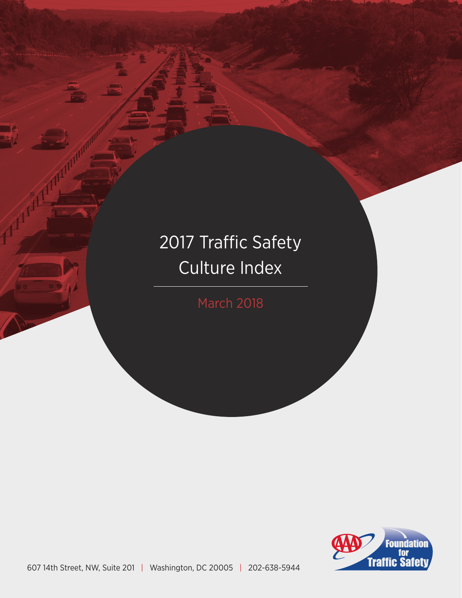# 2017 Traffic Safety Culture Index

March 2018

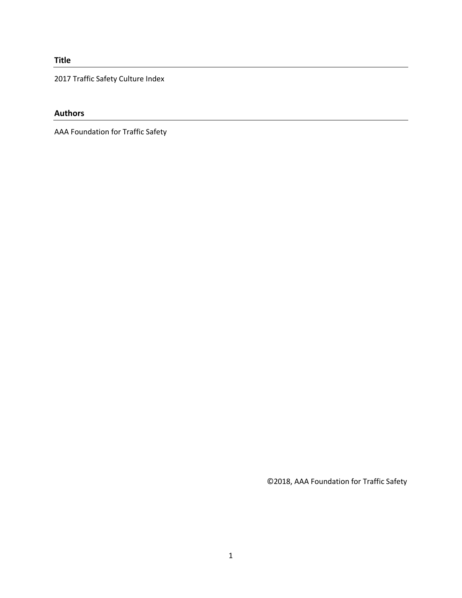## **Title**

2017 Traffic Safety Culture Index

## **Authors**

AAA Foundation for Traffic Safety

©2018, AAA Foundation for Traffic Safety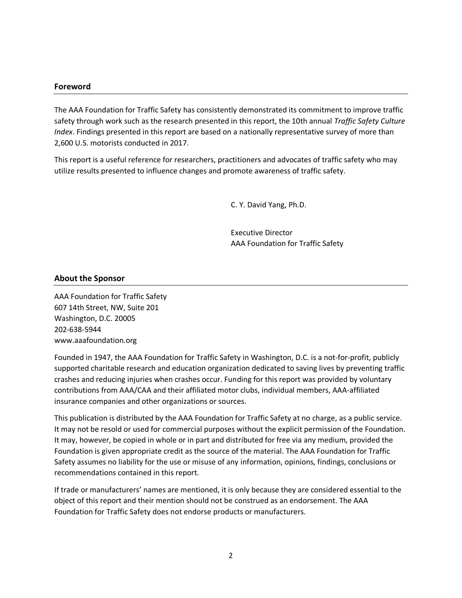#### **Foreword**

The AAA Foundation for Traffic Safety has consistently demonstrated its commitment to improve traffic safety through work such as the research presented in this report, the 10th annual *Traffic Safety Culture Index*. Findings presented in this report are based on a nationally representative survey of more than 2,600 U.S. motorists conducted in 2017.

This report is a useful reference for researchers, practitioners and advocates of traffic safety who may utilize results presented to influence changes and promote awareness of traffic safety.

C. Y. David Yang, Ph.D.

Executive Director AAA Foundation for Traffic Safety

#### **About the Sponsor**

AAA Foundation for Traffic Safety 607 14th Street, NW, Suite 201 Washington, D.C. 20005 202-638-5944 www.aaafoundation.org

Founded in 1947, the AAA Foundation for Traffic Safety in Washington, D.C. is a not-for-profit, publicly supported charitable research and education organization dedicated to saving lives by preventing traffic crashes and reducing injuries when crashes occur. Funding for this report was provided by voluntary contributions from AAA/CAA and their affiliated motor clubs, individual members, AAA-affiliated insurance companies and other organizations or sources.

This publication is distributed by the AAA Foundation for Traffic Safety at no charge, as a public service. It may not be resold or used for commercial purposes without the explicit permission of the Foundation. It may, however, be copied in whole or in part and distributed for free via any medium, provided the Foundation is given appropriate credit as the source of the material. The AAA Foundation for Traffic Safety assumes no liability for the use or misuse of any information, opinions, findings, conclusions or recommendations contained in this report.

If trade or manufacturers' names are mentioned, it is only because they are considered essential to the object of this report and their mention should not be construed as an endorsement. The AAA Foundation for Traffic Safety does not endorse products or manufacturers.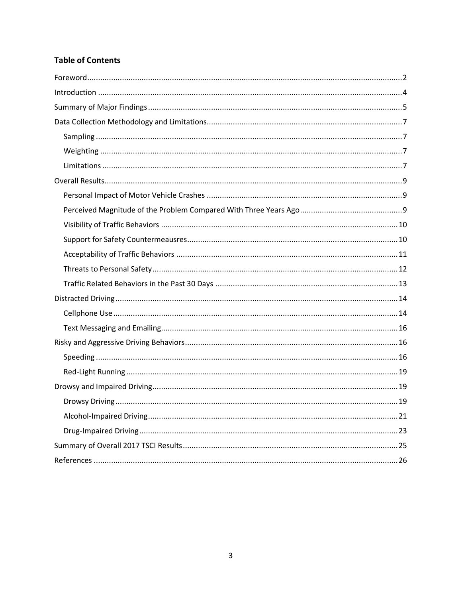# **Table of Contents**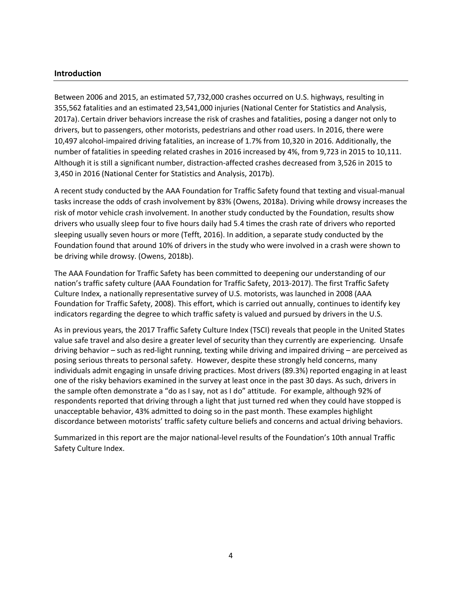#### **Introduction**

Between 2006 and 2015, an estimated 57,732,000 crashes occurred on U.S. highways, resulting in 355,562 fatalities and an estimated 23,541,000 injuries (National Center for Statistics and Analysis, 2017a). Certain driver behaviors increase the risk of crashes and fatalities, posing a danger not only to drivers, but to passengers, other motorists, pedestrians and other road users. In 2016, there were 10,497 alcohol-impaired driving fatalities, an increase of 1.7% from 10,320 in 2016. Additionally, the number of fatalities in speeding related crashes in 2016 increased by 4%, from 9,723 in 2015 to 10,111. Although it is still a significant number, distraction-affected crashes decreased from 3,526 in 2015 to 3,450 in 2016 (National Center for Statistics and Analysis, 2017b).

A recent study conducted by the AAA Foundation for Traffic Safety found that texting and visual-manual tasks increase the odds of crash involvement by 83% (Owens, 2018a). Driving while drowsy increases the risk of motor vehicle crash involvement. In another study conducted by the Foundation, results show drivers who usually sleep four to five hours daily had 5.4 times the crash rate of drivers who reported sleeping usually seven hours or more (Tefft, 2016). In addition, a separate study conducted by the Foundation found that around 10% of drivers in the study who were involved in a crash were shown to be driving while drowsy. (Owens, 2018b).

The AAA Foundation for Traffic Safety has been committed to deepening our understanding of our nation's traffic safety culture (AAA Foundation for Traffic Safety, 2013-2017). The first Traffic Safety Culture Index, a nationally representative survey of U.S. motorists, was launched in 2008 (AAA Foundation for Traffic Safety, 2008). This effort, which is carried out annually, continues to identify key indicators regarding the degree to which traffic safety is valued and pursued by drivers in the U.S.

As in previous years, the 2017 Traffic Safety Culture Index (TSCI) reveals that people in the United States value safe travel and also desire a greater level of security than they currently are experiencing. Unsafe driving behavior – such as red-light running, texting while driving and impaired driving – are perceived as posing serious threats to personal safety. However, despite these strongly held concerns, many individuals admit engaging in unsafe driving practices. Most drivers (89.3%) reported engaging in at least one of the risky behaviors examined in the survey at least once in the past 30 days. As such, drivers in the sample often demonstrate a "do as I say, not as I do" attitude. For example, although 92% of respondents reported that driving through a light that just turned red when they could have stopped is unacceptable behavior, 43% admitted to doing so in the past month. These examples highlight discordance between motorists' traffic safety culture beliefs and concerns and actual driving behaviors.

Summarized in this report are the major national-level results of the Foundation's 10th annual Traffic Safety Culture Index.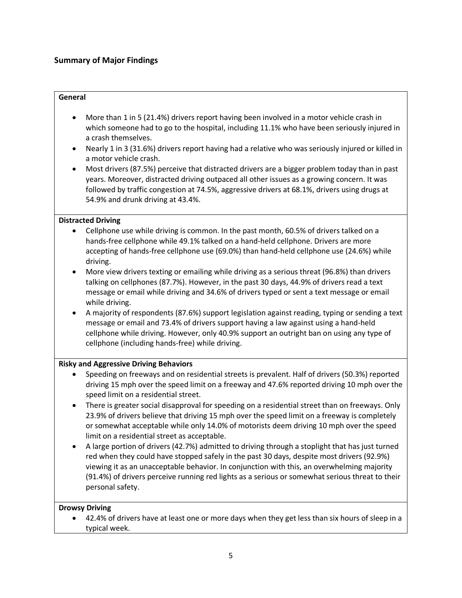## **Summary of Major Findings**

#### **General**

- More than 1 in 5 (21.4%) drivers report having been involved in a motor vehicle crash in which someone had to go to the hospital, including 11.1% who have been seriously injured in a crash themselves.
- Nearly 1 in 3 (31.6%) drivers report having had a relative who was seriously injured or killed in a motor vehicle crash.
- Most drivers (87.5%) perceive that distracted drivers are a bigger problem today than in past years. Moreover, distracted driving outpaced all other issues as a growing concern. It was followed by traffic congestion at 74.5%, aggressive drivers at 68.1%, drivers using drugs at 54.9% and drunk driving at 43.4%.

#### **Distracted Driving**

- Cellphone use while driving is common. In the past month, 60.5% of drivers talked on a hands-free cellphone while 49.1% talked on a hand-held cellphone. Drivers are more accepting of hands-free cellphone use (69.0%) than hand-held cellphone use (24.6%) while driving.
- More view drivers texting or emailing while driving as a serious threat (96.8%) than drivers talking on cellphones (87.7%). However, in the past 30 days, 44.9% of drivers read a text message or email while driving and 34.6% of drivers typed or sent a text message or email while driving.
- A majority of respondents (87.6%) support legislation against reading, typing or sending a text message or email and 73.4% of drivers support having a law against using a hand-held cellphone while driving. However, only 40.9% support an outright ban on using any type of cellphone (including hands-free) while driving.

#### **Risky and Aggressive Driving Behaviors**

- Speeding on freeways and on residential streets is prevalent. Half of drivers (50.3%) reported driving 15 mph over the speed limit on a freeway and 47.6% reported driving 10 mph over the speed limit on a residential street.
- There is greater social disapproval for speeding on a residential street than on freeways. Only 23.9% of drivers believe that driving 15 mph over the speed limit on a freeway is completely or somewhat acceptable while only 14.0% of motorists deem driving 10 mph over the speed limit on a residential street as acceptable.
- A large portion of drivers (42.7%) admitted to driving through a stoplight that has just turned red when they could have stopped safely in the past 30 days, despite most drivers (92.9%) viewing it as an unacceptable behavior. In conjunction with this, an overwhelming majority (91.4%) of drivers perceive running red lights as a serious or somewhat serious threat to their personal safety.

## **Drowsy Driving**

• 42.4% of drivers have at least one or more days when they get less than six hours of sleep in a typical week.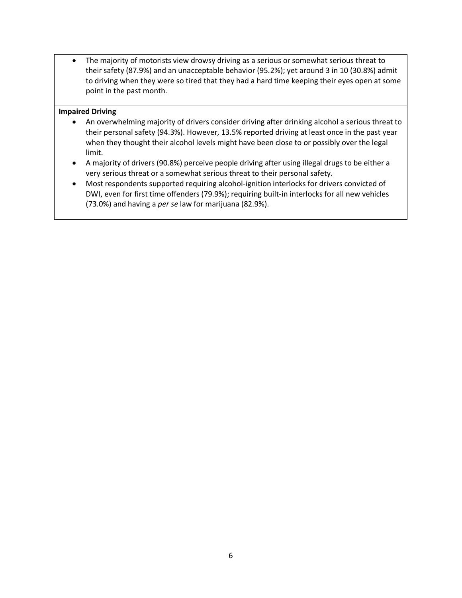• The majority of motorists view drowsy driving as a serious or somewhat serious threat to their safety (87.9%) and an unacceptable behavior (95.2%); yet around 3 in 10 (30.8%) admit to driving when they were so tired that they had a hard time keeping their eyes open at some point in the past month.

#### **Impaired Driving**

- An overwhelming majority of drivers consider driving after drinking alcohol a serious threat to their personal safety (94.3%). However, 13.5% reported driving at least once in the past year when they thought their alcohol levels might have been close to or possibly over the legal limit.
- A majority of drivers (90.8%) perceive people driving after using illegal drugs to be either a very serious threat or a somewhat serious threat to their personal safety.
- Most respondents supported requiring alcohol-ignition interlocks for drivers convicted of DWI, even for first time offenders (79.9%); requiring built-in interlocks for all new vehicles (73.0%) and having a *per se* law for marijuana (82.9%).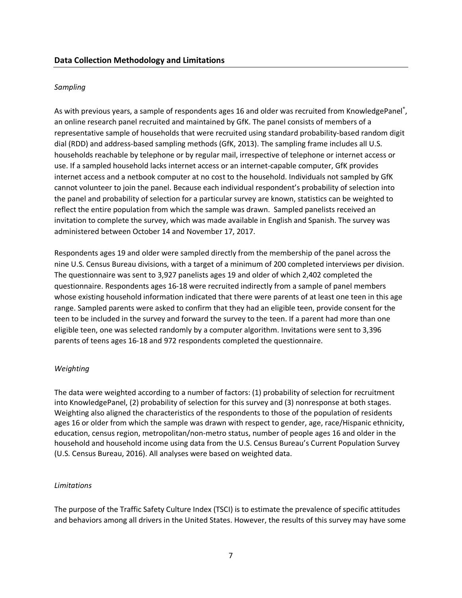#### *Sampling*

As with previous years, a sample of respondents ages 16 and older was recruited from KnowledgePanel®, an online research panel recruited and maintained by GfK. The panel consists of members of a representative sample of households that were recruited using standard probability-based random digit dial (RDD) and address-based sampling methods (GfK, 2013). The sampling frame includes all U.S. households reachable by telephone or by regular mail, irrespective of telephone or internet access or use. If a sampled household lacks internet access or an internet-capable computer, GfK provides internet access and a netbook computer at no cost to the household. Individuals not sampled by GfK cannot volunteer to join the panel. Because each individual respondent's probability of selection into the panel and probability of selection for a particular survey are known, statistics can be weighted to reflect the entire population from which the sample was drawn. Sampled panelists received an invitation to complete the survey, which was made available in English and Spanish. The survey was administered between October 14 and November 17, 2017.

Respondents ages 19 and older were sampled directly from the membership of the panel across the nine U.S. Census Bureau divisions, with a target of a minimum of 200 completed interviews per division. The questionnaire was sent to 3,927 panelists ages 19 and older of which 2,402 completed the questionnaire. Respondents ages 16-18 were recruited indirectly from a sample of panel members whose existing household information indicated that there were parents of at least one teen in this age range. Sampled parents were asked to confirm that they had an eligible teen, provide consent for the teen to be included in the survey and forward the survey to the teen. If a parent had more than one eligible teen, one was selected randomly by a computer algorithm. Invitations were sent to 3,396 parents of teens ages 16-18 and 972 respondents completed the questionnaire.

#### *Weighting*

The data were weighted according to a number of factors: (1) probability of selection for recruitment into KnowledgePanel, (2) probability of selection for this survey and (3) nonresponse at both stages. Weighting also aligned the characteristics of the respondents to those of the population of residents ages 16 or older from which the sample was drawn with respect to gender, age, race/Hispanic ethnicity, education, census region, metropolitan/non-metro status, number of people ages 16 and older in the household and household income using data from the U.S. Census Bureau's Current Population Survey (U.S. Census Bureau, 2016). All analyses were based on weighted data.

#### *Limitations*

The purpose of the Traffic Safety Culture Index (TSCI) is to estimate the prevalence of specific attitudes and behaviors among all drivers in the United States. However, the results of this survey may have some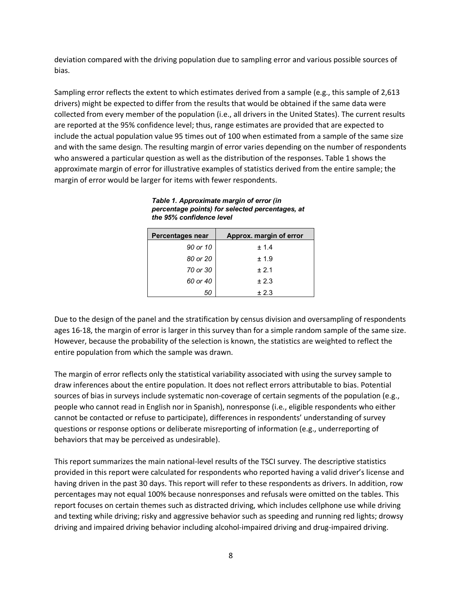deviation compared with the driving population due to sampling error and various possible sources of bias.

Sampling error reflects the extent to which estimates derived from a sample (e.g., this sample of 2,613 drivers) might be expected to differ from the results that would be obtained if the same data were collected from every member of the population (i.e., all drivers in the United States). The current results are reported at the 95% confidence level; thus, range estimates are provided that are expected to include the actual population value 95 times out of 100 when estimated from a sample of the same size and with the same design. The resulting margin of error varies depending on the number of respondents who answered a particular question as well as the distribution of the responses. Table 1 shows the approximate margin of error for illustrative examples of statistics derived from the entire sample; the margin of error would be larger for items with fewer respondents.

*Table 1. Approximate margin of error (in percentage points) for selected percentages, at the 95% confidence level*

| Percentages near | Approx. margin of error |
|------------------|-------------------------|
| 90 or 10         | ± 1.4                   |
| 80 or 20         | ±1.9                    |
| 70 or 30         | $+2.1$                  |
| 60 or 40         | ± 2.3                   |
| 50               | ± 2.3                   |

Due to the design of the panel and the stratification by census division and oversampling of respondents ages 16-18, the margin of error is larger in this survey than for a simple random sample of the same size. However, because the probability of the selection is known, the statistics are weighted to reflect the entire population from which the sample was drawn.

The margin of error reflects only the statistical variability associated with using the survey sample to draw inferences about the entire population. It does not reflect errors attributable to bias. Potential sources of bias in surveys include systematic non-coverage of certain segments of the population (e.g., people who cannot read in English nor in Spanish), nonresponse (i.e., eligible respondents who either cannot be contacted or refuse to participate), differences in respondents' understanding of survey questions or response options or deliberate misreporting of information (e.g., underreporting of behaviors that may be perceived as undesirable).

This report summarizes the main national-level results of the TSCI survey. The descriptive statistics provided in this report were calculated for respondents who reported having a valid driver's license and having driven in the past 30 days. This report will refer to these respondents as drivers. In addition, row percentages may not equal 100% because nonresponses and refusals were omitted on the tables. This report focuses on certain themes such as distracted driving, which includes cellphone use while driving and texting while driving; risky and aggressive behavior such as speeding and running red lights; drowsy driving and impaired driving behavior including alcohol-impaired driving and drug-impaired driving.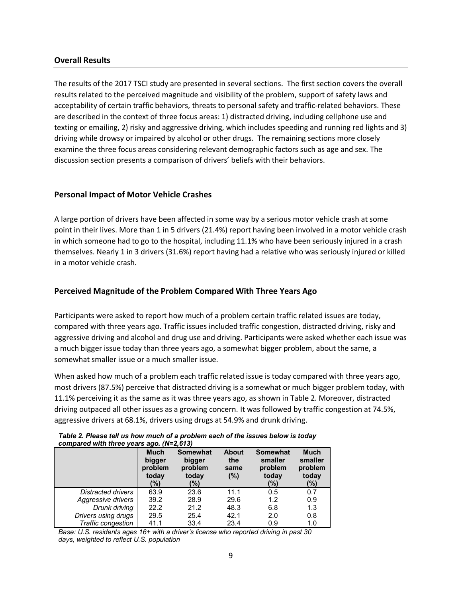#### **Overall Results**

The results of the 2017 TSCI study are presented in several sections. The first section covers the overall results related to the perceived magnitude and visibility of the problem, support of safety laws and acceptability of certain traffic behaviors, threats to personal safety and traffic-related behaviors. These are described in the context of three focus areas: 1) distracted driving, including cellphone use and texting or emailing, 2) risky and aggressive driving, which includes speeding and running red lights and 3) driving while drowsy or impaired by alcohol or other drugs. The remaining sections more closely examine the three focus areas considering relevant demographic factors such as age and sex. The discussion section presents a comparison of drivers' beliefs with their behaviors.

## **Personal Impact of Motor Vehicle Crashes**

A large portion of drivers have been affected in some way by a serious motor vehicle crash at some point in their lives. More than 1 in 5 drivers (21.4%) report having been involved in a motor vehicle crash in which someone had to go to the hospital, including 11.1% who have been seriously injured in a crash themselves. Nearly 1 in 3 drivers (31.6%) report having had a relative who was seriously injured or killed in a motor vehicle crash.

## **Perceived Magnitude of the Problem Compared With Three Years Ago**

Participants were asked to report how much of a problem certain traffic related issues are today, compared with three years ago. Traffic issues included traffic congestion, distracted driving, risky and aggressive driving and alcohol and drug use and driving. Participants were asked whether each issue was a much bigger issue today than three years ago, a somewhat bigger problem, about the same, a somewhat smaller issue or a much smaller issue.

When asked how much of a problem each traffic related issue is today compared with three years ago, most drivers (87.5%) perceive that distracted driving is a somewhat or much bigger problem today, with 11.1% perceiving it as the same as it was three years ago, as shown in Table 2. Moreover, distracted driving outpaced all other issues as a growing concern. It was followed by traffic congestion at 74.5%, aggressive drivers at 68.1%, drivers using drugs at 54.9% and drunk driving.

|                     | compared with three years ago. $(n-z, 0.13)$ |                                                      |                                    |                                                       |                                                   |  |  |  |  |
|---------------------|----------------------------------------------|------------------------------------------------------|------------------------------------|-------------------------------------------------------|---------------------------------------------------|--|--|--|--|
|                     | Much<br>bigger<br>problem<br>today<br>(%)    | <b>Somewhat</b><br>bigger<br>problem<br>today<br>(%) | <b>About</b><br>the<br>same<br>(%) | <b>Somewhat</b><br>smaller<br>problem<br>today<br>(%) | <b>Much</b><br>smaller<br>problem<br>today<br>(%) |  |  |  |  |
| Distracted drivers  | 63.9                                         | 23.6                                                 | 11.1                               | 0.5                                                   | 0.7                                               |  |  |  |  |
| Aggressive drivers  | 39.2                                         | 28.9                                                 | 29.6                               | 1.2                                                   | 0.9                                               |  |  |  |  |
| Drunk driving       | 22.2                                         | 21.2                                                 | 48.3                               | 6.8                                                   | 1.3                                               |  |  |  |  |
| Drivers using drugs | 29.5                                         | 25.4                                                 | 42.1                               | 2.0                                                   | 0.8                                               |  |  |  |  |
| Traffic congestion  | 41.1                                         | 33.4                                                 | 23.4                               | 0.9                                                   | 1.0                                               |  |  |  |  |

#### *Table 2. Please tell us how much of a problem each of the issues below is today compared with three years ago. (N=2,613)*

*Base: U.S. residents ages 16+ with a driver's license who reported driving in past 30 days, weighted to reflect U.S. population*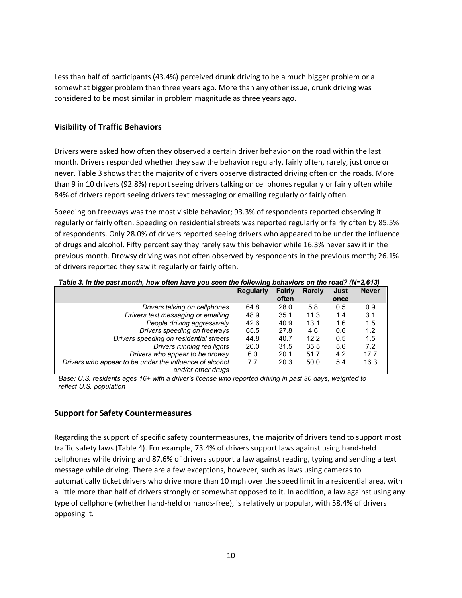Less than half of participants (43.4%) perceived drunk driving to be a much bigger problem or a somewhat bigger problem than three years ago. More than any other issue, drunk driving was considered to be most similar in problem magnitude as three years ago.

## **Visibility of Traffic Behaviors**

Drivers were asked how often they observed a certain driver behavior on the road within the last month. Drivers responded whether they saw the behavior regularly, fairly often, rarely, just once or never. Table 3 shows that the majority of drivers observe distracted driving often on the roads. More than 9 in 10 drivers (92.8%) report seeing drivers talking on cellphones regularly or fairly often while 84% of drivers report seeing drivers text messaging or emailing regularly or fairly often.

Speeding on freeways was the most visible behavior; 93.3% of respondents reported observing it regularly or fairly often. Speeding on residential streets was reported regularly or fairly often by 85.5% of respondents. Only 28.0% of drivers reported seeing drivers who appeared to be under the influence of drugs and alcohol. Fifty percent say they rarely saw this behavior while 16.3% never saw it in the previous month. Drowsy driving was not often observed by respondents in the previous month; 26.1% of drivers reported they saw it regularly or fairly often.

|                                                         | <b>Regularly</b> | Fairly | Rarely | Just | <b>Never</b> |
|---------------------------------------------------------|------------------|--------|--------|------|--------------|
|                                                         |                  | often  |        | once |              |
| Drivers talking on cellphones                           | 64.8             | 28.0   | 5.8    | 0.5  | 0.9          |
| Drivers text messaging or emailing                      | 48.9             | 35.1   | 11.3   | 1.4  | 3.1          |
| People driving aggressively                             | 42.6             | 40.9   | 13.1   | 1.6  | 1.5          |
| Drivers speeding on freeways                            | 65.5             | 27.8   | 4.6    | 0.6  | 1.2          |
| Drivers speeding on residential streets                 | 44.8             | 40.7   | 12.2   | 0.5  | 1.5          |
| Drivers running red lights                              | 20.0             | 31.5   | 35.5   | 5.6  | 7.2          |
| Drivers who appear to be drowsy                         | 6.0              | 20.1   | 51.7   | 4.2  | 17.7         |
| Drivers who appear to be under the influence of alcohol | 7.7              | 20.3   | 50.0   | 5.4  | 16.3         |
| and/or other drugs                                      |                  |        |        |      |              |

*Table 3. In the past month, how often have you seen the following behaviors on the road? (N=2,613)*

*Base: U.S. residents ages 16+ with a driver's license who reported driving in past 30 days, weighted to reflect U.S. population*

## **Support for Safety Countermeasures**

Regarding the support of specific safety countermeasures, the majority of drivers tend to support most traffic safety laws (Table 4). For example, 73.4% of drivers support laws against using hand-held cellphones while driving and 87.6% of drivers support a law against reading, typing and sending a text message while driving. There are a few exceptions, however, such as laws using cameras to automatically ticket drivers who drive more than 10 mph over the speed limit in a residential area, with a little more than half of drivers strongly or somewhat opposed to it. In addition, a law against using any type of cellphone (whether hand-held or hands-free), is relatively unpopular, with 58.4% of drivers opposing it.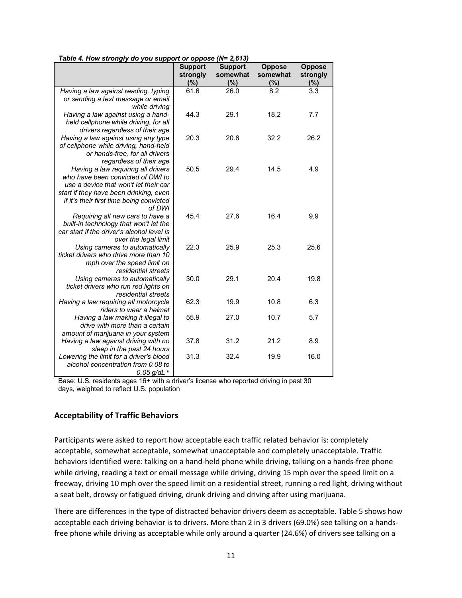|                                                                         | <b>Support</b><br>strongly | <b>Support</b><br>somewhat | <b>Oppose</b><br>somewhat | <b>Oppose</b><br>strongly |
|-------------------------------------------------------------------------|----------------------------|----------------------------|---------------------------|---------------------------|
|                                                                         | (%)                        | (%)                        | (%)                       | (%)                       |
| Having a law against reading, typing                                    | 61.6                       | 26.0                       | 8.2                       | $\overline{3.3}$          |
| or sending a text message or email                                      |                            |                            |                           |                           |
| while driving                                                           |                            |                            |                           |                           |
| Having a law against using a hand-                                      | 44.3                       | 29.1                       | 18.2                      | 7.7                       |
| held cellphone while driving, for all                                   |                            |                            |                           |                           |
| drivers regardless of their age<br>Having a law against using any type  | 20.3                       | 20.6                       | 32.2                      | 26.2                      |
| of cellphone while driving, hand-held                                   |                            |                            |                           |                           |
| or hands-free, for all drivers                                          |                            |                            |                           |                           |
| regardless of their age                                                 |                            |                            |                           |                           |
| Having a law requiring all drivers                                      | 50.5                       | 29.4                       | 14.5                      | 4.9                       |
| who have been convicted of DWI to                                       |                            |                            |                           |                           |
| use a device that won't let their car                                   |                            |                            |                           |                           |
| start if they have been drinking, even                                  |                            |                            |                           |                           |
| if it's their first time being convicted                                |                            |                            |                           |                           |
| of DWI                                                                  |                            |                            |                           |                           |
| Requiring all new cars to have a                                        | 45.4                       | 27.6                       | 16.4                      | 9.9                       |
| built-in technology that won't let the                                  |                            |                            |                           |                           |
| car start if the driver's alcohol level is                              |                            |                            |                           |                           |
| over the legal limit                                                    | 22.3                       |                            | 25.3                      |                           |
| Using cameras to automatically<br>ticket drivers who drive more than 10 |                            | 25.9                       |                           | 25.6                      |
| mph over the speed limit on                                             |                            |                            |                           |                           |
| residential streets                                                     |                            |                            |                           |                           |
| Using cameras to automatically                                          | 30.0                       | 29.1                       | 20.4                      | 19.8                      |
| ticket drivers who run red lights on                                    |                            |                            |                           |                           |
| residential streets                                                     |                            |                            |                           |                           |
| Having a law requiring all motorcycle                                   | 62.3                       | 19.9                       | 10.8                      | 6.3                       |
| riders to wear a helmet                                                 |                            |                            |                           |                           |
| Having a law making it illegal to                                       | 55.9                       | 27.0                       | 10.7                      | 5.7                       |
| drive with more than a certain                                          |                            |                            |                           |                           |
| amount of marijuana in your system                                      |                            |                            |                           |                           |
| Having a law against driving with no                                    | 37.8                       | 31.2                       | 21.2                      | 8.9                       |
| sleep in the past 24 hours                                              |                            |                            |                           |                           |
| Lowering the limit for a driver's blood                                 | 31.3                       | 32.4                       | 19.9                      | 16.0                      |
| alcohol concentration from 0.08 to                                      |                            |                            |                           |                           |
| $0.05$ g/dL $^a$                                                        |                            |                            |                           |                           |

*Table 4. How strongly do you support or oppose (N= 2,613)*

Base: U.S. residents ages 16+ with a driver's license who reported driving in past 30 days, weighted to reflect U.S. population

#### **Acceptability of Traffic Behaviors**

Participants were asked to report how acceptable each traffic related behavior is: completely acceptable, somewhat acceptable, somewhat unacceptable and completely unacceptable. Traffic behaviors identified were: talking on a hand-held phone while driving, talking on a hands-free phone while driving, reading a text or email message while driving, driving 15 mph over the speed limit on a freeway, driving 10 mph over the speed limit on a residential street, running a red light, driving without a seat belt, drowsy or fatigued driving, drunk driving and driving after using marijuana.

There are differences in the type of distracted behavior drivers deem as acceptable. Table 5 shows how acceptable each driving behavior is to drivers. More than 2 in 3 drivers (69.0%) see talking on a handsfree phone while driving as acceptable while only around a quarter (24.6%) of drivers see talking on a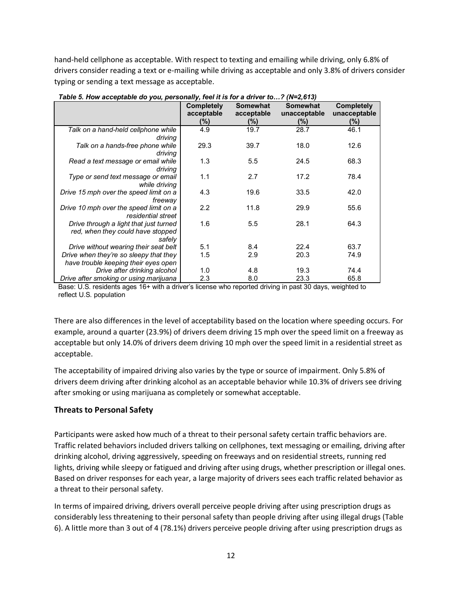hand-held cellphone as acceptable. With respect to texting and emailing while driving, only 6.8% of drivers consider reading a text or e-mailing while driving as acceptable and only 3.8% of drivers consider typing or sending a text message as acceptable.

|                                                                             | <b>Completely</b><br>acceptable<br>(%) | <b>Somewhat</b><br>acceptable<br>(%) | <b>Somewhat</b><br>unacceptable<br>$(\%)$ | <b>Completely</b><br>unacceptable<br>$(\%)$ |
|-----------------------------------------------------------------------------|----------------------------------------|--------------------------------------|-------------------------------------------|---------------------------------------------|
| Talk on a hand-held cellphone while                                         | 4.9                                    | 19.7                                 | 28.7                                      | 46.1                                        |
| driving                                                                     |                                        |                                      |                                           |                                             |
| Talk on a hands-free phone while                                            | 29.3                                   | 39.7                                 | 18.0                                      | 12.6                                        |
| driving                                                                     |                                        |                                      |                                           |                                             |
| Read a text message or email while                                          | 1.3                                    | 5.5                                  | 24.5                                      | 68.3                                        |
| driving                                                                     |                                        |                                      |                                           |                                             |
| Type or send text message or email                                          | 1.1                                    | 2.7                                  | 17.2                                      | 78.4                                        |
| while drivina                                                               |                                        |                                      |                                           |                                             |
| Drive 15 mph over the speed limit on a                                      | 4.3                                    | 19.6                                 | 33.5                                      | 42.0                                        |
| freeway                                                                     |                                        |                                      |                                           |                                             |
| Drive 10 mph over the speed limit on a<br>residential street                | 2.2                                    | 11.8                                 | 29.9                                      | 55.6                                        |
|                                                                             | 1.6                                    | 5.5                                  | 28.1                                      | 64.3                                        |
| Drive through a light that just turned<br>red, when they could have stopped |                                        |                                      |                                           |                                             |
| safely                                                                      |                                        |                                      |                                           |                                             |
| Drive without wearing their seat belt                                       | 5.1                                    | 8.4                                  | 22.4                                      | 63.7                                        |
| Drive when they're so sleepy that they                                      | 1.5                                    | 2.9                                  | 20.3                                      | 74.9                                        |
| have trouble keeping their eyes open                                        |                                        |                                      |                                           |                                             |
| Drive after drinking alcohol                                                | 1.0                                    | 4.8                                  | 19.3                                      | 74.4                                        |
| Drive after smoking or using marijuana                                      | 2.3                                    | 8.0                                  | 23.3                                      | 65.8                                        |

*Table 5. How acceptable do you, personally, feel it is for a driver to…? (N=2,613)*

Base: U.S. residents ages 16+ with a driver's license who reported driving in past 30 days, weighted to reflect U.S. population

There are also differences in the level of acceptability based on the location where speeding occurs. For example, around a quarter (23.9%) of drivers deem driving 15 mph over the speed limit on a freeway as acceptable but only 14.0% of drivers deem driving 10 mph over the speed limit in a residential street as acceptable.

The acceptability of impaired driving also varies by the type or source of impairment. Only 5.8% of drivers deem driving after drinking alcohol as an acceptable behavior while 10.3% of drivers see driving after smoking or using marijuana as completely or somewhat acceptable.

## **Threats to Personal Safety**

Participants were asked how much of a threat to their personal safety certain traffic behaviors are. Traffic related behaviors included drivers talking on cellphones, text messaging or emailing, driving after drinking alcohol, driving aggressively, speeding on freeways and on residential streets, running red lights, driving while sleepy or fatigued and driving after using drugs, whether prescription or illegal ones. Based on driver responses for each year, a large majority of drivers sees each traffic related behavior as a threat to their personal safety.

In terms of impaired driving, drivers overall perceive people driving after using prescription drugs as considerably less threatening to their personal safety than people driving after using illegal drugs (Table 6). A little more than 3 out of 4 (78.1%) drivers perceive people driving after using prescription drugs as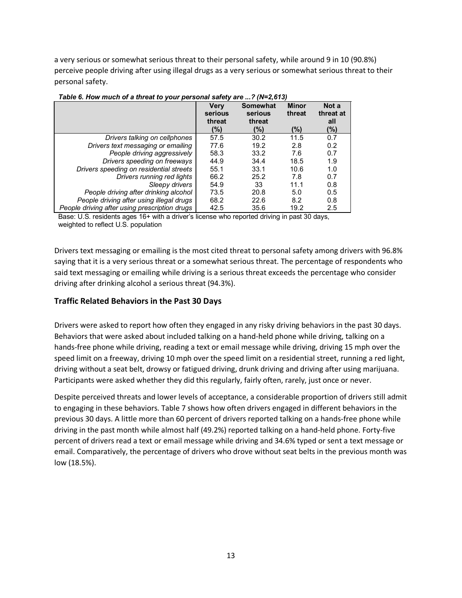a very serious or somewhat serious threat to their personal safety, while around 9 in 10 (90.8%) perceive people driving after using illegal drugs as a very serious or somewhat serious threat to their personal safety.

|                                               | Very<br>serious<br>threat<br>(%) | <b>Somewhat</b><br>serious<br>threat<br>(%) | <b>Minor</b><br>threat<br>(%) | Not a<br>threat at<br>all<br>(%) |
|-----------------------------------------------|----------------------------------|---------------------------------------------|-------------------------------|----------------------------------|
| Drivers talking on cellphones                 | 57.5                             | 30.2                                        | 11.5                          | 0.7                              |
| Drivers text messaging or emailing            | 77.6                             | 19.2                                        | 2.8                           | 0.2                              |
| People driving aggressively                   | 58.3                             | 33.2                                        | 7.6                           | 0.7                              |
| Drivers speeding on freeways                  | 44.9                             | 34.4                                        | 18.5                          | 1.9                              |
| Drivers speeding on residential streets       | 55.1                             | 33.1                                        | 10.6                          | 1.0                              |
| Drivers running red lights                    | 66.2                             | 25.2                                        | 7.8                           | 0.7                              |
| Sleepy drivers                                | 54.9                             | 33                                          | 11.1                          | 0.8                              |
| People driving after drinking alcohol         | 73.5                             | 20.8                                        | 5.0                           | 0.5                              |
| People driving after using illegal drugs      | 68.2                             | 22.6                                        | 8.2                           | 0.8                              |
| People driving after using prescription drugs | 42.5                             | 35.6                                        | 19.2                          | 2.5                              |

*Table 6. How much of a threat to your personal safety are ...? (N=2,613)*

Base: U.S. residents ages 16+ with a driver's license who reported driving in past 30 days, weighted to reflect U.S. population

Drivers text messaging or emailing is the most cited threat to personal safety among drivers with 96.8% saying that it is a very serious threat or a somewhat serious threat. The percentage of respondents who said text messaging or emailing while driving is a serious threat exceeds the percentage who consider driving after drinking alcohol a serious threat (94.3%).

## **Traffic Related Behaviors in the Past 30 Days**

Drivers were asked to report how often they engaged in any risky driving behaviors in the past 30 days. Behaviors that were asked about included talking on a hand-held phone while driving, talking on a hands-free phone while driving, reading a text or email message while driving, driving 15 mph over the speed limit on a freeway, driving 10 mph over the speed limit on a residential street, running a red light, driving without a seat belt, drowsy or fatigued driving, drunk driving and driving after using marijuana. Participants were asked whether they did this regularly, fairly often, rarely, just once or never.

Despite perceived threats and lower levels of acceptance, a considerable proportion of drivers still admit to engaging in these behaviors. Table 7 shows how often drivers engaged in different behaviors in the previous 30 days. A little more than 60 percent of drivers reported talking on a hands-free phone while driving in the past month while almost half (49.2%) reported talking on a hand-held phone. Forty-five percent of drivers read a text or email message while driving and 34.6% typed or sent a text message or email. Comparatively, the percentage of drivers who drove without seat belts in the previous month was low (18.5%).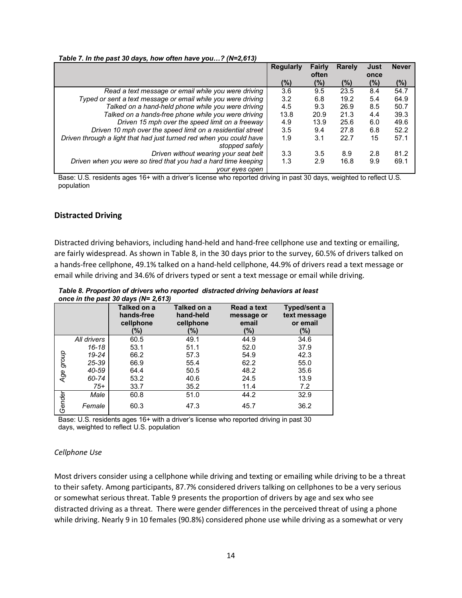|                                                                     | <b>Regularly</b> | <b>Fairly</b> | Rarely | Just   | <b>Never</b> |
|---------------------------------------------------------------------|------------------|---------------|--------|--------|--------------|
|                                                                     |                  | often         |        | once   |              |
|                                                                     | (%)              | (%)           | (%)    | $(\%)$ | $(\%)$       |
| Read a text message or email while you were driving                 | 3.6              | 9.5           | 23.5   | 8.4    | 54.7         |
| Typed or sent a text message or email while you were driving        | 3.2              | 6.8           | 19.2   | 5.4    | 64.9         |
| Talked on a hand-held phone while you were driving                  | 4.5              | 9.3           | 26.9   | 8.5    | 50.7         |
| Talked on a hands-free phone while you were driving                 | 13.8             | 20.9          | 21.3   | 4.4    | 39.3         |
| Driven 15 mph over the speed limit on a freeway                     | 4.9              | 13.9          | 25.6   | 6.0    | 49.6         |
| Driven 10 mph over the speed limit on a residential street          | 3.5              | 9.4           | 27.8   | 6.8    | 52.2         |
| Driven through a light that had just turned red when you could have | 1.9              | 3.1           | 22.7   | 15     | 57.1         |
| stopped safely                                                      |                  |               |        |        |              |
| Driven without wearing your seat belt                               | 3.3              | 3.5           | 8.9    | 2.8    | 81.2         |
| Driven when you were so tired that you had a hard time keeping      | 1.3              | 2.9           | 16.8   | 9.9    | 69.1         |
| your eyes open                                                      |                  |               |        |        |              |

*Table 7. In the past 30 days, how often have you…? (N=2,613)*

Base: U.S. residents ages 16+ with a driver's license who reported driving in past 30 days, weighted to reflect U.S. population

#### **Distracted Driving**

Distracted driving behaviors, including hand-held and hand-free cellphone use and texting or emailing, are fairly widespread. As shown in Table 8, in the 30 days prior to the survey, 60.5% of drivers talked on a hands-free cellphone, 49.1% talked on a hand-held cellphone, 44.9% of drivers read a text message or email while driving and 34.6% of drivers typed or sent a text message or email while driving.

|           |             | Talked on a<br>hands-free<br>cellphone<br>(%) | Talked on a<br>hand-held<br>cellphone<br>(%) | <b>Read a text</b><br>message or<br>email<br>(%) | Typed/sent a<br>text message<br>or email<br>(%) |
|-----------|-------------|-----------------------------------------------|----------------------------------------------|--------------------------------------------------|-------------------------------------------------|
|           | All drivers | 60.5                                          | 49.1                                         | 44.9                                             | 34.6                                            |
|           | 16-18       | 53.1                                          | 51.1                                         | 52.0                                             | 37.9                                            |
|           | 19-24       | 66.2                                          | 57.3                                         | 54.9                                             | 42.3                                            |
|           | 25-39       | 66.9                                          | 55.4                                         | 62.2                                             | 55.0                                            |
| Age group | 40-59       | 64.4                                          | 50.5                                         | 48.2                                             | 35.6                                            |
|           | 60-74       | 53.2                                          | 40.6                                         | 24.5                                             | 13.9                                            |
|           | $75+$       | 33.7                                          | 35.2                                         | 11.4                                             | 7.2                                             |
|           | Male        | 60.8                                          | 51.0                                         | 44.2                                             | 32.9                                            |
| Gender    | Female      | 60.3                                          | 47.3                                         | 45.7                                             | 36.2                                            |

*Table 8. Proportion of drivers who reported distracted driving behaviors at least once in the past 30 days (N= 2,613)*

Base: U.S. residents ages 16+ with a driver's license who reported driving in past 30 days, weighted to reflect U.S. population

#### *Cellphone Use*

Most drivers consider using a cellphone while driving and texting or emailing while driving to be a threat to their safety. Among participants, 87.7% considered drivers talking on cellphones to be a very serious or somewhat serious threat. Table 9 presents the proportion of drivers by age and sex who see distracted driving as a threat. There were gender differences in the perceived threat of using a phone while driving. Nearly 9 in 10 females (90.8%) considered phone use while driving as a somewhat or very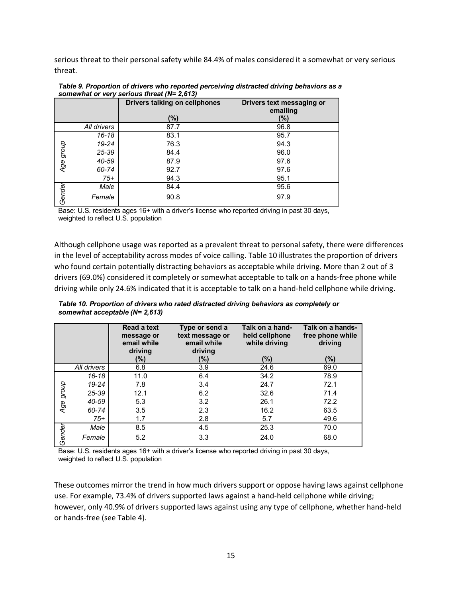serious threat to their personal safety while 84.4% of males considered it a somewhat or very serious threat.

|           |             | Drivers talking on cellphones | Drivers text messaging or<br>emailing |
|-----------|-------------|-------------------------------|---------------------------------------|
|           |             | (%)                           | (%)                                   |
|           | All drivers | 87.7                          | 96.8                                  |
|           | 16-18       | 83.1                          | 95.7                                  |
|           | 19-24       | 76.3                          | 94.3                                  |
| Age group | 25-39       | 84.4                          | 96.0                                  |
|           | 40-59       | 87.9                          | 97.6                                  |
|           | 60-74       | 92.7                          | 97.6                                  |
|           | $75+$       | 94.3                          | 95.1                                  |
|           | Male        | 84.4                          | 95.6                                  |
| Gender    | Female      | 90.8                          | 97.9                                  |

*Table 9. Proportion of drivers who reported perceiving distracted driving behaviors as a somewhat or very serious threat (N= 2,613)*

Base: U.S. residents ages 16+ with a driver's license who reported driving in past 30 days, weighted to reflect U.S. population

Although cellphone usage was reported as a prevalent threat to personal safety, there were differences in the level of acceptability across modes of voice calling. Table 10 illustrates the proportion of drivers who found certain potentially distracting behaviors as acceptable while driving. More than 2 out of 3 drivers (69.0%) considered it completely or somewhat acceptable to talk on a hands-free phone while driving while only 24.6% indicated that it is acceptable to talk on a hand-held cellphone while driving.

|           |             | <b>Read a text</b><br>message or<br>email while<br>driving<br>(%) | Type or send a<br>text message or<br>email while<br>driving<br>(%) | Talk on a hand-<br>held cellphone<br>while driving<br>(%) | Talk on a hands-<br>free phone while<br>driving<br>$(\% )$ |
|-----------|-------------|-------------------------------------------------------------------|--------------------------------------------------------------------|-----------------------------------------------------------|------------------------------------------------------------|
|           | All drivers | 6.8                                                               | 3.9                                                                | 24.6                                                      | 69.0                                                       |
|           | $16 - 18$   | 11.0                                                              | 6.4                                                                | 34.2                                                      | 78.9                                                       |
|           | 19-24       | 7.8                                                               | 3.4                                                                | 24.7                                                      | 72.1                                                       |
|           | 25-39       | 12.1                                                              | 6.2                                                                | 32.6                                                      | 71.4                                                       |
| Age group | 40-59       | 5.3                                                               | 3.2                                                                | 26.1                                                      | 72.2                                                       |
|           | 60-74       | 3.5                                                               | 2.3                                                                | 16.2                                                      | 63.5                                                       |
|           | $75+$       | 1.7                                                               | 2.8                                                                | 5.7                                                       | 49.6                                                       |
|           | Male        | 8.5                                                               | 4.5                                                                | 25.3                                                      | 70.0                                                       |
| Gender    | Female      | 5.2                                                               | 3.3                                                                | 24.0                                                      | 68.0                                                       |

*Table 10. Proportion of drivers who rated distracted driving behaviors as completely or somewhat acceptable (N= 2,613)*

Base: U.S. residents ages 16+ with a driver's license who reported driving in past 30 days, weighted to reflect U.S. population

These outcomes mirror the trend in how much drivers support or oppose having laws against cellphone use. For example, 73.4% of drivers supported laws against a hand-held cellphone while driving; however, only 40.9% of drivers supported laws against using any type of cellphone, whether hand-held or hands-free (see Table 4).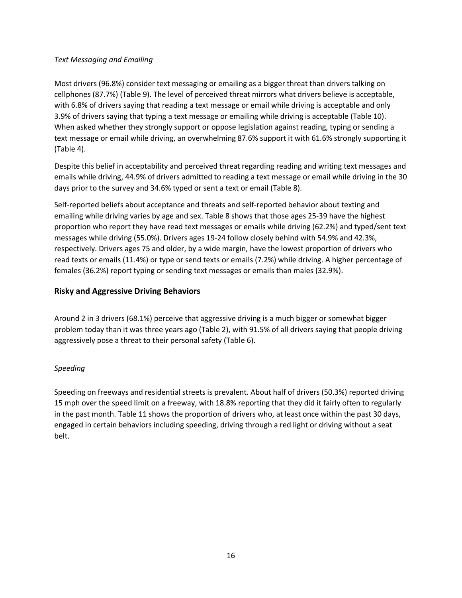#### *Text Messaging and Emailing*

Most drivers (96.8%) consider text messaging or emailing as a bigger threat than drivers talking on cellphones (87.7%) (Table 9). The level of perceived threat mirrors what drivers believe is acceptable, with 6.8% of drivers saying that reading a text message or email while driving is acceptable and only 3.9% of drivers saying that typing a text message or emailing while driving is acceptable (Table 10). When asked whether they strongly support or oppose legislation against reading, typing or sending a text message or email while driving, an overwhelming 87.6% support it with 61.6% strongly supporting it (Table 4).

Despite this belief in acceptability and perceived threat regarding reading and writing text messages and emails while driving, 44.9% of drivers admitted to reading a text message or email while driving in the 30 days prior to the survey and 34.6% typed or sent a text or email (Table 8).

Self-reported beliefs about acceptance and threats and self-reported behavior about texting and emailing while driving varies by age and sex. Table 8 shows that those ages 25-39 have the highest proportion who report they have read text messages or emails while driving (62.2%) and typed/sent text messages while driving (55.0%). Drivers ages 19-24 follow closely behind with 54.9% and 42.3%, respectively. Drivers ages 75 and older, by a wide margin, have the lowest proportion of drivers who read texts or emails (11.4%) or type or send texts or emails (7.2%) while driving. A higher percentage of females (36.2%) report typing or sending text messages or emails than males (32.9%).

## **Risky and Aggressive Driving Behaviors**

Around 2 in 3 drivers (68.1%) perceive that aggressive driving is a much bigger or somewhat bigger problem today than it was three years ago (Table 2), with 91.5% of all drivers saying that people driving aggressively pose a threat to their personal safety (Table 6).

## *Speeding*

Speeding on freeways and residential streets is prevalent. About half of drivers (50.3%) reported driving 15 mph over the speed limit on a freeway, with 18.8% reporting that they did it fairly often to regularly in the past month. Table 11 shows the proportion of drivers who, at least once within the past 30 days, engaged in certain behaviors including speeding, driving through a red light or driving without a seat belt.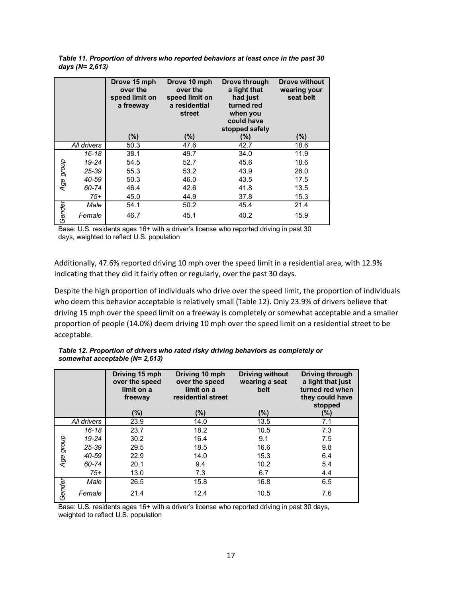|           |             | Drove 15 mph<br>over the<br>speed limit on<br>a freeway | Drove 10 mph<br>over the<br>speed limit on<br>a residential<br>street | Drove through<br>a light that<br>had just<br>turned red<br>when you<br>could have<br>stopped safely | <b>Drove without</b><br>wearing your<br>seat belt |
|-----------|-------------|---------------------------------------------------------|-----------------------------------------------------------------------|-----------------------------------------------------------------------------------------------------|---------------------------------------------------|
|           |             | (%)                                                     | $(\%)$                                                                | (%)                                                                                                 | (%)                                               |
|           | All drivers | 50.3                                                    | 47.6                                                                  | 42.7                                                                                                | 18.6                                              |
|           | $16 - 18$   | 38.1                                                    | 49.7                                                                  | 34.0                                                                                                | 11.9                                              |
|           | 19-24       | 54.5                                                    | 52.7                                                                  | 45.6                                                                                                | 18.6                                              |
|           | 25-39       | 55.3                                                    | 53.2                                                                  | 43.9                                                                                                | 26.0                                              |
| Age group | 40-59       | 50.3                                                    | 46.0                                                                  | 43.5                                                                                                | 17.5                                              |
|           | 60-74       | 46.4                                                    | 42.6                                                                  | 41.8                                                                                                | 13.5                                              |
|           | $75+$       | 45.0                                                    | 44.9                                                                  | 37.8                                                                                                | 15.3                                              |
|           | Male        | 54.1                                                    | 50.2                                                                  | 45.4                                                                                                | 21.4                                              |
| Gender    | Female      | 46.7                                                    | 45.1                                                                  | 40.2                                                                                                | 15.9                                              |

*Table 11. Proportion of drivers who reported behaviors at least once in the past 30 days (N= 2,613)*

Base: U.S. residents ages 16+ with a driver's license who reported driving in past 30 days, weighted to reflect U.S. population

Additionally, 47.6% reported driving 10 mph over the speed limit in a residential area, with 12.9% indicating that they did it fairly often or regularly, over the past 30 days.

Despite the high proportion of individuals who drive over the speed limit, the proportion of individuals who deem this behavior acceptable is relatively small (Table 12). Only 23.9% of drivers believe that driving 15 mph over the speed limit on a freeway is completely or somewhat acceptable and a smaller proportion of people (14.0%) deem driving 10 mph over the speed limit on a residential street to be acceptable.

*Table 12. Proportion of drivers who rated risky driving behaviors as completely or somewhat acceptable (N= 2,613)*

|           |             | Driving 15 mph<br>over the speed<br>limit on a<br>freeway | Driving 10 mph<br>over the speed<br>limit on a<br>residential street | <b>Driving without</b><br>wearing a seat<br>belt | <b>Driving through</b><br>a light that just<br>turned red when<br>they could have<br>stopped |
|-----------|-------------|-----------------------------------------------------------|----------------------------------------------------------------------|--------------------------------------------------|----------------------------------------------------------------------------------------------|
|           |             | (%)                                                       | (%)                                                                  | (%)                                              | $(\%)$                                                                                       |
|           | All drivers | 23.9                                                      | 14.0                                                                 | 13.5                                             | 7.1                                                                                          |
|           | $16 - 18$   | 23.7                                                      | 18.2                                                                 | 10.5                                             | 7.3                                                                                          |
|           | 19-24       | 30.2                                                      | 16.4                                                                 | 9.1                                              | 7.5                                                                                          |
|           | 25-39       | 29.5                                                      | 18.5                                                                 | 16.6                                             | 9.8                                                                                          |
| Age group | 40-59       | 22.9                                                      | 14.0                                                                 | 15.3                                             | 6.4                                                                                          |
|           | 60-74       | 20.1                                                      | 9.4                                                                  | 10.2                                             | 5.4                                                                                          |
|           | $75+$       | 13.0                                                      | 7.3                                                                  | 6.7                                              | 4.4                                                                                          |
|           | Male        | 26.5                                                      | 15.8                                                                 | 16.8                                             | 6.5                                                                                          |
| Gender    | Female      | 21.4                                                      | 12.4                                                                 | 10.5                                             | 7.6                                                                                          |

Base: U.S. residents ages 16+ with a driver's license who reported driving in past 30 days, weighted to reflect U.S. population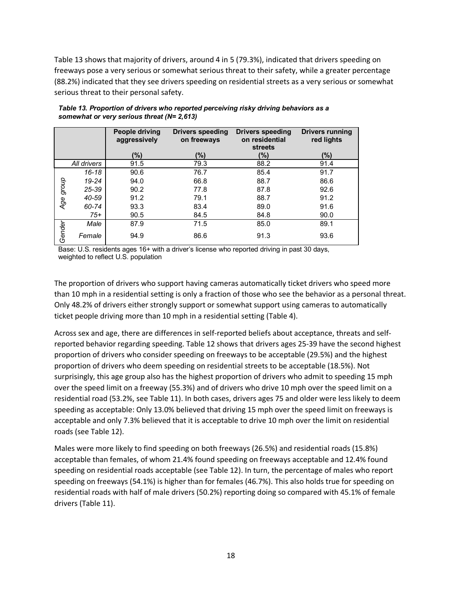Table 13 shows that majority of drivers, around 4 in 5 (79.3%), indicated that drivers speeding on freeways pose a very serious or somewhat serious threat to their safety, while a greater percentage (88.2%) indicated that they see drivers speeding on residential streets as a very serious or somewhat serious threat to their personal safety.

|           |             | People driving<br>aggressively | <b>Drivers speeding</b><br>on freeways | <b>Drivers speeding</b><br>on residential<br><b>streets</b> | <b>Drivers running</b><br>red lights |
|-----------|-------------|--------------------------------|----------------------------------------|-------------------------------------------------------------|--------------------------------------|
|           |             | (%)                            | (%)                                    | (%)                                                         | (%)                                  |
|           | All drivers | 91.5                           | 79.3                                   | 88.2                                                        | 91.4                                 |
|           | 16-18       | 90.6                           | 76.7                                   | 85.4                                                        | 91.7                                 |
|           | 19-24       | 94.0                           | 66.8                                   | 88.7                                                        | 86.6                                 |
|           | 25-39       | 90.2                           | 77.8                                   | 87.8                                                        | 92.6                                 |
| Age group | 40-59       | 91.2                           | 79.1                                   | 88.7                                                        | 91.2                                 |
|           | 60-74       | 93.3                           | 83.4                                   | 89.0                                                        | 91.6                                 |
|           | $75+$       | 90.5                           | 84.5                                   | 84.8                                                        | 90.0                                 |
|           | Male        | 87.9                           | 71.5                                   | 85.0                                                        | 89.1                                 |
| Gender    | Female      | 94.9                           | 86.6                                   | 91.3                                                        | 93.6                                 |

*Table 13. Proportion of drivers who reported perceiving risky driving behaviors as a somewhat or very serious threat (N= 2,613)*

Base: U.S. residents ages 16+ with a driver's license who reported driving in past 30 days, weighted to reflect U.S. population

The proportion of drivers who support having cameras automatically ticket drivers who speed more than 10 mph in a residential setting is only a fraction of those who see the behavior as a personal threat. Only 48.2% of drivers either strongly support or somewhat support using cameras to automatically ticket people driving more than 10 mph in a residential setting (Table 4).

Across sex and age, there are differences in self-reported beliefs about acceptance, threats and selfreported behavior regarding speeding. Table 12 shows that drivers ages 25-39 have the second highest proportion of drivers who consider speeding on freeways to be acceptable (29.5%) and the highest proportion of drivers who deem speeding on residential streets to be acceptable (18.5%). Not surprisingly, this age group also has the highest proportion of drivers who admit to speeding 15 mph over the speed limit on a freeway (55.3%) and of drivers who drive 10 mph over the speed limit on a residential road (53.2%, see Table 11). In both cases, drivers ages 75 and older were less likely to deem speeding as acceptable: Only 13.0% believed that driving 15 mph over the speed limit on freeways is acceptable and only 7.3% believed that it is acceptable to drive 10 mph over the limit on residential roads (see Table 12).

Males were more likely to find speeding on both freeways (26.5%) and residential roads (15.8%) acceptable than females, of whom 21.4% found speeding on freeways acceptable and 12.4% found speeding on residential roads acceptable (see Table 12). In turn, the percentage of males who report speeding on freeways (54.1%) is higher than for females (46.7%). This also holds true for speeding on residential roads with half of male drivers (50.2%) reporting doing so compared with 45.1% of female drivers (Table 11).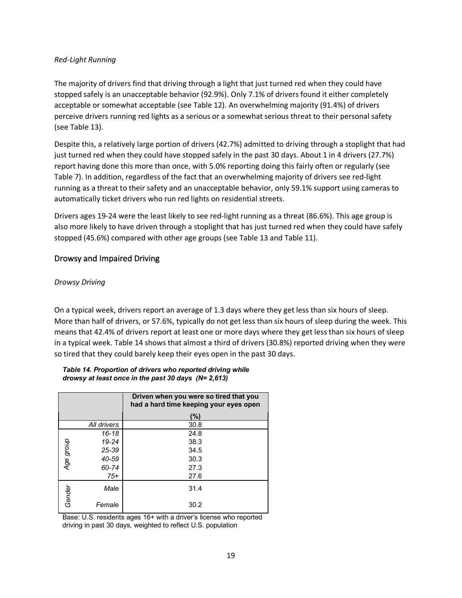#### *Red-Light Running*

The majority of drivers find that driving through a light that just turned red when they could have stopped safely is an unacceptable behavior (92.9%). Only 7.1% of drivers found it either completely acceptable or somewhat acceptable (see Table 12). An overwhelming majority (91.4%) of drivers perceive drivers running red lights as a serious or a somewhat serious threat to their personal safety (see Table 13).

Despite this, a relatively large portion of drivers (42.7%) admitted to driving through a stoplight that had just turned red when they could have stopped safely in the past 30 days. About 1 in 4 drivers (27.7%) report having done this more than once, with 5.0% reporting doing this fairly often or regularly (see Table 7). In addition, regardless of the fact that an overwhelming majority of drivers see red-light running as a threat to their safety and an unacceptable behavior, only 59.1% support using cameras to automatically ticket drivers who run red lights on residential streets.

Drivers ages 19-24 were the least likely to see red-light running as a threat (86.6%). This age group is also more likely to have driven through a stoplight that has just turned red when they could have safely stopped (45.6%) compared with other age groups (see Table 13 and Table 11).

## Drowsy and Impaired Driving

## *Drowsy Driving*

On a typical week, drivers report an average of 1.3 days where they get less than six hours of sleep. More than half of drivers, or 57.6%, typically do not get less than six hours of sleep during the week. This means that 42.4% of drivers report at least one or more days where they get less than six hours of sleep in a typical week. Table 14 shows that almost a third of drivers (30.8%) reported driving when they were so tired that they could barely keep their eyes open in the past 30 days.

|           |             | Driven when you were so tired that you<br>had a hard time keeping your eyes open |
|-----------|-------------|----------------------------------------------------------------------------------|
|           |             | (%)                                                                              |
|           | All drivers | 30.8                                                                             |
|           | $16 - 18$   | 24.8                                                                             |
|           | 19-24       | 38.3                                                                             |
| Age group | 25-39       | 34.5                                                                             |
|           | 40-59       | 30.3                                                                             |
|           | 60-74       | 27.3                                                                             |
|           | $75+$       | 27.6                                                                             |
| Gender    | Male        | 31.4                                                                             |
|           | Female      | 30.2                                                                             |

#### *Table 14. Proportion of drivers who reported driving while drowsy at least once in the past 30 days (N= 2,613)*

Base: U.S. residents ages 16+ with a driver's license who reported driving in past 30 days, weighted to reflect U.S. population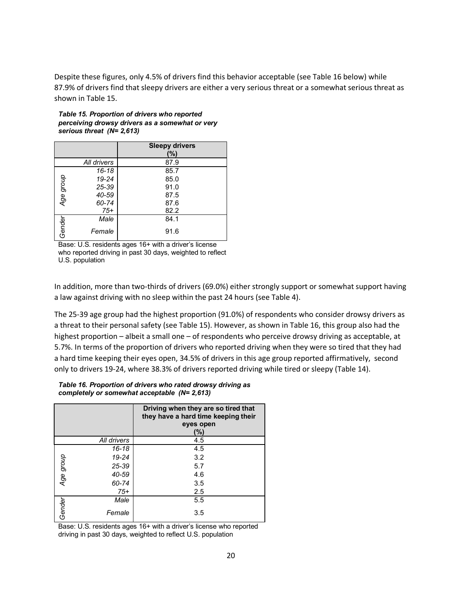Despite these figures, only 4.5% of drivers find this behavior acceptable (see Table 16 below) while 87.9% of drivers find that sleepy drivers are either a very serious threat or a somewhat serious threat as shown in Table 15.

|           |             | <b>Sleepy drivers</b><br>(%) |
|-----------|-------------|------------------------------|
|           | All drivers | 87.9                         |
|           | 16-18       | 85.7                         |
| Age group | 19-24       | 85.0                         |
|           | 25-39       | 91.0                         |
|           | 40-59       | 87.5                         |
|           | 60-74       | 87.6                         |
|           | $75+$       | 82.2                         |
| Gender    | Male        | 84.1                         |
|           | Female      | 91.6                         |

*Table 15. Proportion of drivers who reported perceiving drowsy drivers as a somewhat or very serious threat (N= 2,613)*

Base: U.S. residents ages 16+ with a driver's license who reported driving in past 30 days, weighted to reflect U.S. population

In addition, more than two-thirds of drivers (69.0%) either strongly support or somewhat support having a law against driving with no sleep within the past 24 hours (see Table 4).

The 25-39 age group had the highest proportion (91.0%) of respondents who consider drowsy drivers as a threat to their personal safety (see Table 15). However, as shown in Table 16, this group also had the highest proportion – albeit a small one – of respondents who perceive drowsy driving as acceptable, at 5.7%. In terms of the proportion of drivers who reported driving when they were so tired that they had a hard time keeping their eyes open, 34.5% of drivers in this age group reported affirmatively, second only to drivers 19-24, where 38.3% of drivers reported driving while tired or sleepy (Table 14).

#### *Table 16. Proportion of drivers who rated drowsy driving as completely or somewhat acceptable (N= 2,613)*

|           |             | Driving when they are so tired that<br>they have a hard time keeping their<br>eyes open<br>(%) |
|-----------|-------------|------------------------------------------------------------------------------------------------|
|           | All drivers | 4.5                                                                                            |
|           | $16 - 18$   | 4.5                                                                                            |
|           | 19-24       | 3.2                                                                                            |
|           | 25-39       | 5.7                                                                                            |
| Age group | 40-59       | 4.6                                                                                            |
|           | 60-74       | 3.5                                                                                            |
|           | $75+$       | 2.5                                                                                            |
|           | Male        | 5.5                                                                                            |
| Gender    | Female      | 3.5                                                                                            |

Base: U.S. residents ages 16+ with a driver's license who reported driving in past 30 days, weighted to reflect U.S. population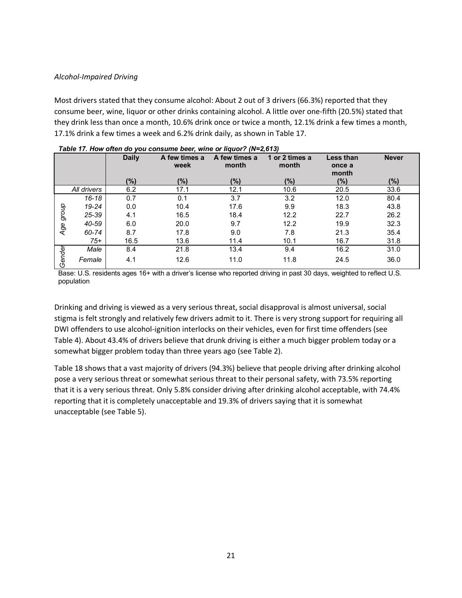#### *Alcohol-Impaired Driving*

Most drivers stated that they consume alcohol: About 2 out of 3 drivers (66.3%) reported that they consume beer, wine, liquor or other drinks containing alcohol. A little over one-fifth (20.5%) stated that they drink less than once a month, 10.6% drink once or twice a month, 12.1% drink a few times a month, 17.1% drink a few times a week and 6.2% drink daily, as shown in Table 17.

|        |             | <b>Daily</b> | A few times a<br>week | A few times a<br>month | 1 or 2 times a<br>month | <b>Less than</b><br>once a<br>month | <b>Never</b> |
|--------|-------------|--------------|-----------------------|------------------------|-------------------------|-------------------------------------|--------------|
|        |             | (%)          | (%)                   | (%)                    | (%)                     | (%)                                 | $(\%)$       |
|        | All drivers | 6.2          | 17.1                  | 12.1                   | 10.6                    | 20.5                                | 33.6         |
|        | $16 - 18$   | 0.7          | 0.1                   | 3.7                    | 3.2                     | 12.0                                | 80.4         |
|        | $19 - 24$   | 0.0          | 10.4                  | 17.6                   | 9.9                     | 18.3                                | 43.8         |
| group  | 25-39       | 4.1          | 16.5                  | 18.4                   | 12.2                    | 22.7                                | 26.2         |
| Age    | 40-59       | 6.0          | 20.0                  | 9.7                    | 12.2                    | 19.9                                | 32.3         |
|        | 60-74       | 8.7          | 17.8                  | 9.0                    | 7.8                     | 21.3                                | 35.4         |
|        | $75+$       | 16.5         | 13.6                  | 11.4                   | 10.1                    | 16.7                                | 31.8         |
|        | Male        | 8.4          | 21.8                  | 13.4                   | 9.4                     | 16.2                                | 31.0         |
| Gender | Female      | 4.1          | 12.6                  | 11.0                   | 11.8                    | 24.5                                | 36.0         |

| Table 17. How often do you consume beer, wine or liquor? ( $N=2,613$ ) |  |  |
|------------------------------------------------------------------------|--|--|
|------------------------------------------------------------------------|--|--|

Base: U.S. residents ages 16+ with a driver's license who reported driving in past 30 days, weighted to reflect U.S. population

Drinking and driving is viewed as a very serious threat, social disapproval is almost universal, social stigma is felt strongly and relatively few drivers admit to it. There is very strong support for requiring all DWI offenders to use alcohol-ignition interlocks on their vehicles, even for first time offenders (see Table 4). About 43.4% of drivers believe that drunk driving is either a much bigger problem today or a somewhat bigger problem today than three years ago (see Table 2).

Table 18 shows that a vast majority of drivers (94.3%) believe that people driving after drinking alcohol pose a very serious threat or somewhat serious threat to their personal safety, with 73.5% reporting that it is a very serious threat. Only 5.8% consider driving after drinking alcohol acceptable, with 74.4% reporting that it is completely unacceptable and 19.3% of drivers saying that it is somewhat unacceptable (see Table 5).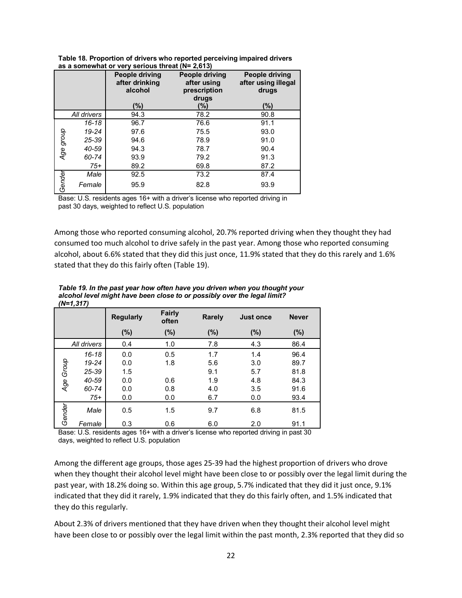|           |             | <b>People driving</b><br>after drinking<br>alcohol<br>(%) | People driving<br>after using<br>prescription<br>drugs<br>(%) | People driving<br>after using illegal<br>drugs<br>(%) |
|-----------|-------------|-----------------------------------------------------------|---------------------------------------------------------------|-------------------------------------------------------|
|           | All drivers | 94.3                                                      | 78.2                                                          | 90.8                                                  |
|           | 16-18       | 96.7                                                      | 76.6                                                          | 91.1                                                  |
|           | 19-24       | 97.6                                                      | 75.5                                                          | 93.0                                                  |
| Age group | 25-39       | 94.6                                                      | 78.9                                                          | 91.0                                                  |
|           | 40-59       | 94.3                                                      | 78.7                                                          | 90.4                                                  |
|           | 60-74       | 93.9                                                      | 79.2                                                          | 91.3                                                  |
|           | $75+$       | 89.2                                                      | 69.8                                                          | 87.2                                                  |
|           | Male        | 92.5                                                      | 73.2                                                          | 87.4                                                  |
| Gender    | Female      | 95.9                                                      | 82.8                                                          | 93.9                                                  |

**Table 18. Proportion of drivers who reported perceiving impaired drivers as a somewhat or very serious threat (N= 2,613)**

Base: U.S. residents ages 16+ with a driver's license who reported driving in past 30 days, weighted to reflect U.S. population

Among those who reported consuming alcohol, 20.7% reported driving when they thought they had consumed too much alcohol to drive safely in the past year. Among those who reported consuming alcohol, about 6.6% stated that they did this just once, 11.9% stated that they do this rarely and 1.6% stated that they do this fairly often (Table 19).

| .      | .,,.,       | <b>Regularly</b> | <b>Fairly</b><br>often | Rarely | <b>Just once</b> | <b>Never</b> |
|--------|-------------|------------------|------------------------|--------|------------------|--------------|
|        |             | $(\%)$           | (%)                    | (%)    | $(\%)$           | $(\%)$       |
|        | All drivers | 0.4              | 1.0                    | 7.8    | 4.3              | 86.4         |
|        | $16 - 18$   | 0.0              | 0.5                    | 1.7    | 1.4              | 96.4         |
| Group  | 19-24       | 0.0              | 1.8                    | 5.6    | 3.0              | 89.7         |
|        | 25-39       | 1.5              |                        | 9.1    | 5.7              | 81.8         |
|        | 40-59       | 0.0              | 0.6                    | 1.9    | 4.8              | 84.3         |
| Age    | 60-74       | 0.0              | 0.8                    | 4.0    | 3.5              | 91.6         |
|        | $75+$       | 0.0              | 0.0                    | 6.7    | 0.0              | 93.4         |
| Gender | Male        | 0.5              | 1.5                    | 9.7    | 6.8              | 81.5         |
|        | Female      | 0.3              | 0.6                    | 6.0    | 2.0              | 91.1         |

*Table 19. In the past year how often have you driven when you thought your alcohol level might have been close to or possibly over the legal limit? (N=1,317)*

Base: U.S. residents ages 16+ with a driver's license who reported driving in past 30 days, weighted to reflect U.S. population

Among the different age groups, those ages 25-39 had the highest proportion of drivers who drove when they thought their alcohol level might have been close to or possibly over the legal limit during the past year, with 18.2% doing so. Within this age group, 5.7% indicated that they did it just once, 9.1% indicated that they did it rarely, 1.9% indicated that they do this fairly often, and 1.5% indicated that they do this regularly.

About 2.3% of drivers mentioned that they have driven when they thought their alcohol level might have been close to or possibly over the legal limit within the past month, 2.3% reported that they did so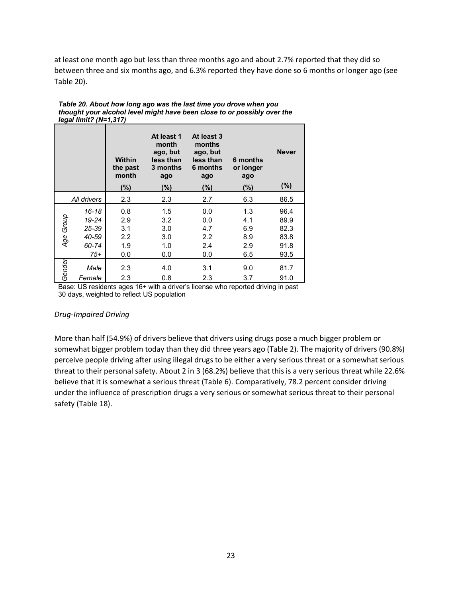at least one month ago but less than three months ago and about 2.7% reported that they did so between three and six months ago, and 6.3% reported they have done so 6 months or longer ago (see Table 20).

|           |                | <b>Within</b><br>the past<br>month<br>(%) | At least 1<br>month<br>ago, but<br>less than<br>3 months<br>ago<br>$(\%)$ | At least 3<br>months<br>ago, but<br>less than<br>6 months<br>ago<br>(%) | 6 months<br>or longer<br>ago<br>$(\% )$ | <b>Never</b><br>$(\%)$ |
|-----------|----------------|-------------------------------------------|---------------------------------------------------------------------------|-------------------------------------------------------------------------|-----------------------------------------|------------------------|
|           |                |                                           |                                                                           |                                                                         |                                         |                        |
|           | All drivers    | 2.3                                       | 2.3                                                                       | 2.7                                                                     | 6.3                                     | 86.5                   |
|           | 16-18<br>19-24 | 0.8<br>2.9                                | 1.5<br>3.2                                                                | 0.0<br>0.0                                                              | 1.3<br>4.1                              | 96.4<br>89.9           |
|           | 25-39          | 3.1                                       | 3.0                                                                       | 4.7                                                                     | 6.9                                     | 82.3                   |
|           | 40-59          | $2.2\,$                                   | 3.0                                                                       | 2.2                                                                     | 8.9                                     | 83.8                   |
| Age Group | 60-74          | 1.9                                       | 1.0                                                                       | 2.4                                                                     | 2.9                                     | 91.8                   |
|           | $75+$          | 0.0                                       | 0.0                                                                       | 0.0                                                                     | 6.5                                     | 93.5                   |
|           |                |                                           |                                                                           |                                                                         |                                         |                        |
| Gender    | Male           | 2.3                                       | 4.0                                                                       | 3.1                                                                     | 9.0                                     | 81.7                   |
|           | Female         | 2.3                                       | 0.8                                                                       | 2.3                                                                     | 3.7                                     | 91.0                   |

| Table 20. About how long ago was the last time you drove when you        |  |
|--------------------------------------------------------------------------|--|
| thought your alcohol level might have been close to or possibly over the |  |
| legal limit? (N=1,317)                                                   |  |

Base: US residents ages 16+ with a driver's license who reported driving in past 30 days, weighted to reflect US population

#### *Drug-Impaired Driving*

More than half (54.9%) of drivers believe that drivers using drugs pose a much bigger problem or somewhat bigger problem today than they did three years ago (Table 2). The majority of drivers (90.8%) perceive people driving after using illegal drugs to be either a very serious threat or a somewhat serious threat to their personal safety. About 2 in 3 (68.2%) believe that this is a very serious threat while 22.6% believe that it is somewhat a serious threat (Table 6). Comparatively, 78.2 percent consider driving under the influence of prescription drugs a very serious or somewhat serious threat to their personal safety (Table 18).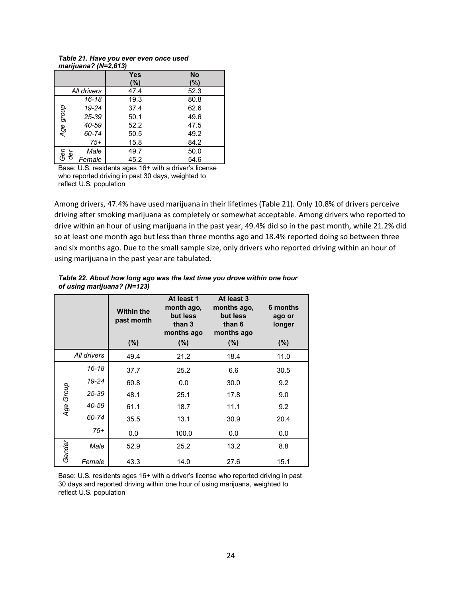|                      | $\cdot$ . |           |  |
|----------------------|-----------|-----------|--|
|                      | Yes       | <b>No</b> |  |
|                      | (%)       | (%)       |  |
| All drivers          | 47.4      | 52.3      |  |
| $16 - 18$            | 19.3      | 80.8      |  |
| 19-24                | 37.4      | 62.6      |  |
| Age group<br>25-39   | 50.1      | 49.6      |  |
| 40-59                | 52.2      | 47.5      |  |
| 60-74                | 50.5      | 49.2      |  |
| $75+$                | 15.8      | 84.2      |  |
| Male                 | 49.7      | 50.0      |  |
| Ger<br>der<br>Female | 45.2      | 54.6      |  |

#### *Table 21. Have you ever even once used marijuana? (N=2,613)*

Base: U.S. residents ages 16+ with a driver's license who reported driving in past 30 days, weighted to reflect U.S. population

Among drivers, 47.4% have used marijuana in their lifetimes (Table 21). Only 10.8% of drivers perceive driving after smoking marijuana as completely or somewhat acceptable. Among drivers who reported to drive within an hour of using marijuana in the past year, 49.4% did so in the past month, while 21.2% did so at least one month ago but less than three months ago and 18.4% reported doing so between three and six months ago. Due to the small sample size, only drivers who reported driving within an hour of using marijuana in the past year are tabulated.

|             |           | <b>Within the</b><br>past month | At least 1<br>month ago,<br>but less<br>than 3<br>months ago | At least 3<br>months ago,<br>but less<br>than 6<br>months ago | 6 months<br>ago or<br>longer |
|-------------|-----------|---------------------------------|--------------------------------------------------------------|---------------------------------------------------------------|------------------------------|
|             |           | (%)                             | (%)                                                          | (%)                                                           | $(\%)$                       |
| All drivers |           | 49.4                            | 21.2                                                         | 18.4                                                          | 11.0                         |
| Age Group   | $16 - 18$ | 37.7                            | 25.2                                                         | 6.6                                                           | 30.5                         |
|             | 19-24     | 60.8                            | 0.0                                                          | 30.0                                                          | 9.2                          |
|             | 25-39     | 48.1                            | 25.1                                                         | 17.8                                                          | 9.0                          |
|             | 40-59     | 61.1                            | 18.7                                                         | 11.1                                                          | 9.2                          |
|             | 60-74     | 35.5                            | 13.1                                                         | 30.9                                                          | 20.4                         |
|             | $75+$     | 0.0                             | 100.0                                                        | 0.0                                                           | 0.0                          |
| Gender      | Male      | 52.9                            | 25.2                                                         | 13.2                                                          | 8.8                          |
|             | Female    | 43.3                            | 14.0                                                         | 27.6                                                          | 15.1                         |

*Table 22. About how long ago was the last time you drove within one hour of using marijuana? (N=123)*

Base: U.S. residents ages 16+ with a driver's license who reported driving in past 30 days and reported driving within one hour of using marijuana, weighted to reflect U.S. population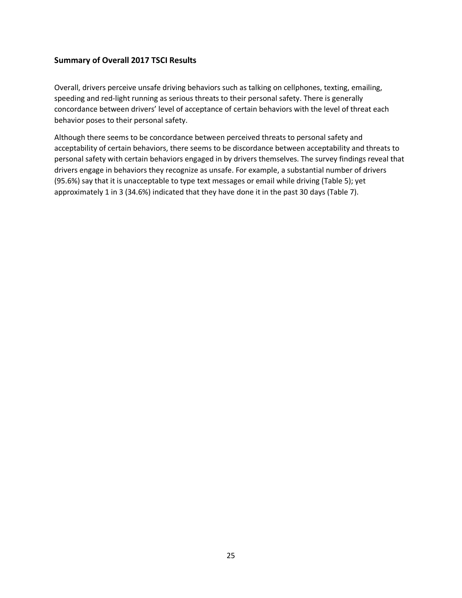## **Summary of Overall 2017 TSCI Results**

Overall, drivers perceive unsafe driving behaviors such as talking on cellphones, texting, emailing, speeding and red-light running as serious threats to their personal safety. There is generally concordance between drivers' level of acceptance of certain behaviors with the level of threat each behavior poses to their personal safety.

Although there seems to be concordance between perceived threats to personal safety and acceptability of certain behaviors, there seems to be discordance between acceptability and threats to personal safety with certain behaviors engaged in by drivers themselves. The survey findings reveal that drivers engage in behaviors they recognize as unsafe. For example, a substantial number of drivers (95.6%) say that it is unacceptable to type text messages or email while driving (Table 5); yet approximately 1 in 3 (34.6%) indicated that they have done it in the past 30 days (Table 7).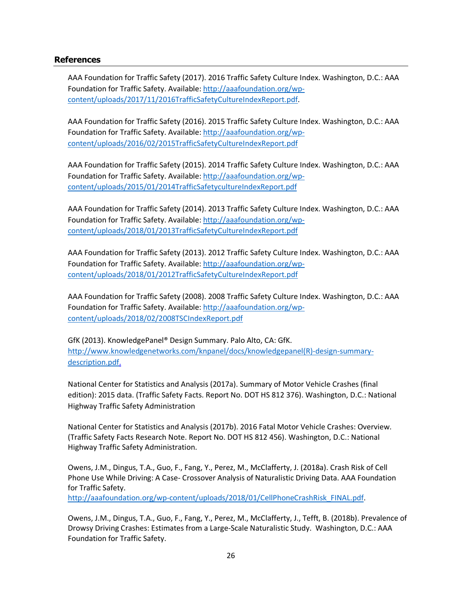#### **References**

AAA Foundation for Traffic Safety (2017). 2016 Traffic Safety Culture Index. Washington, D.C.: AAA Foundation for Traffic Safety. Available: http://aaafoundation.org/wpcontent/uploads/2017/11/2016TrafficSafetyCultureIndexReport.pdf.

AAA Foundation for Traffic Safety (2016). 2015 Traffic Safety Culture Index. Washington, D.C.: AAA Foundation for Traffic Safety. Available: http://aaafoundation.org/wpcontent/uploads/2016/02/2015TrafficSafetyCultureIndexReport.pdf

AAA Foundation for Traffic Safety (2015). 2014 Traffic Safety Culture Index. Washington, D.C.: AAA Foundation for Traffic Safety. Available: http://aaafoundation.org/wpcontent/uploads/2015/01/2014TrafficSafetycultureIndexReport.pdf

AAA Foundation for Traffic Safety (2014). 2013 Traffic Safety Culture Index. Washington, D.C.: AAA Foundation for Traffic Safety. Available: http://aaafoundation.org/wpcontent/uploads/2018/01/2013TrafficSafetyCultureIndexReport.pdf

AAA Foundation for Traffic Safety (2013). 2012 Traffic Safety Culture Index. Washington, D.C.: AAA Foundation for Traffic Safety. Available: http://aaafoundation.org/wpcontent/uploads/2018/01/2012TrafficSafetyCultureIndexReport.pdf

AAA Foundation for Traffic Safety (2008). 2008 Traffic Safety Culture Index. Washington, D.C.: AAA Foundation for Traffic Safety. Available: http://aaafoundation.org/wpcontent/uploads/2018/02/2008TSCIndexReport.pdf

GfK (2013). KnowledgePanel® Design Summary. Palo Alto, CA: GfK. http://www.knowledgenetworks.com/knpanel/docs/knowledgepanel(R)-design-summarydescription.pdf.

National Center for Statistics and Analysis (2017a). Summary of Motor Vehicle Crashes (final edition): 2015 data. (Traffic Safety Facts. Report No. DOT HS 812 376). Washington, D.C.: National Highway Traffic Safety Administration

National Center for Statistics and Analysis (2017b). 2016 Fatal Motor Vehicle Crashes: Overview. (Traffic Safety Facts Research Note. Report No. DOT HS 812 456). Washington, D.C.: National Highway Traffic Safety Administration.

Owens, J.M., Dingus, T.A., Guo, F., Fang, Y., Perez, M., McClafferty, J. (2018a). Crash Risk of Cell Phone Use While Driving: A Case- Crossover Analysis of Naturalistic Driving Data. AAA Foundation for Traffic Safety.

http://aaafoundation.org/wp-content/uploads/2018/01/CellPhoneCrashRisk\_FINAL.pdf.

Owens, J.M., Dingus, T.A., Guo, F., Fang, Y., Perez, M., McClafferty, J., Tefft, B. (2018b). Prevalence of Drowsy Driving Crashes: Estimates from a Large-Scale Naturalistic Study. Washington, D.C.: AAA Foundation for Traffic Safety.